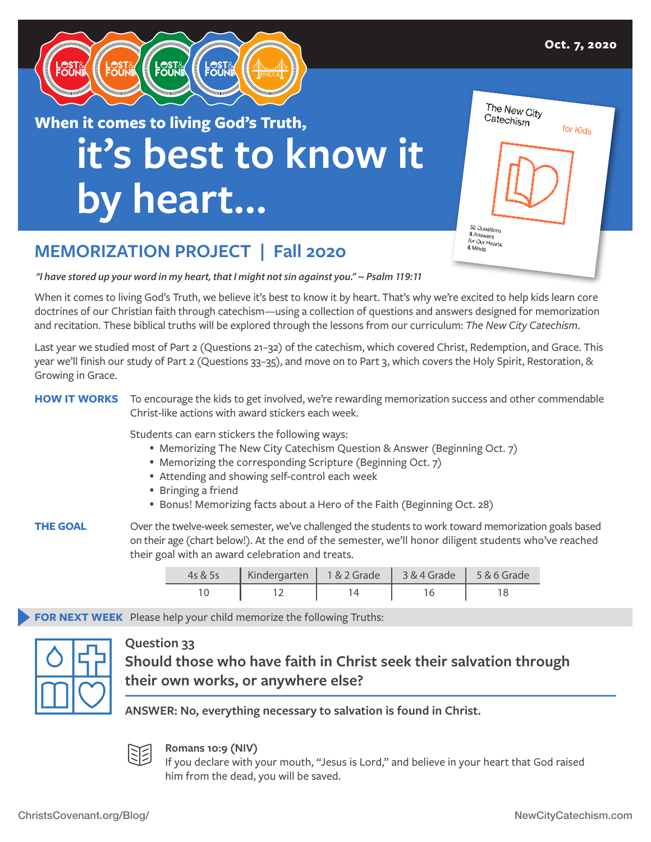

# **it's best to know it by heart… When it comes to living God's Truth,**

| Catechism                              | The New City | for Kids |  |
|----------------------------------------|--------------|----------|--|
| 52 Questions                           |              |          |  |
| & Answers<br>for Our Hearts<br>& Minds |              |          |  |

## **MEMORIZATION PROJECT | Fall 2020**

*"I have stored up your word in my heart, that I might not sin against you." ~ Psalm 119:11*

When it comes to living God's Truth, we believe it's best to know it by heart. That's why we're excited to help kids learn core doctrines of our Christian faith through catechism—using a collection of questions and answers designed for memorization and recitation. These biblical truths will be explored through the lessons from our curriculum: *The New City Catechism*.

Last year we studied most of Part 2 (Questions 21–32) of the catechism, which covered Christ, Redemption, and Grace. This year we'll finish our study of Part 2 (Questions 33–35), and move on to Part 3, which covers the Holy Spirit, Restoration, & Growing in Grace.

#### **HOW IT WORKS** To encourage the kids to get involved, we're rewarding memorization success and other commendable Christ-like actions with award stickers each week.

Students can earn stickers the following ways:

- Memorizing The New City Catechism Question & Answer (Beginning Oct. 7)
- Memorizing the corresponding Scripture (Beginning Oct. 7)
- Attending and showing self-control each week
- Bringing a friend
- Bonus! Memorizing facts about a Hero of the Faith (Beginning Oct. 28)
- **THE GOAL** Over the twelve-week semester, we've challenged the students to work toward memorization goals based on their age (chart below!). At the end of the semester, we'll honor diligent students who've reached their goal with an award celebration and treats.

| 4s & 5s | Kindergarten   1 & 2 Grade   3 & 4 Grade   5 & 6 Grade |  |  |
|---------|--------------------------------------------------------|--|--|
|         |                                                        |  |  |

**FOR NEXT WEEK** Please help your child memorize the following Truths:



### **Question 33**

**Should those who have faith in Christ seek their salvation through their own works, or anywhere else?**

**ANSWER: No, everything necessary to salvation is found in Christ.**



#### **Romans 10:9 (NIV)**

If you declare with your mouth, "Jesus is Lord," and believe in your heart that God raised him from the dead, you will be saved.